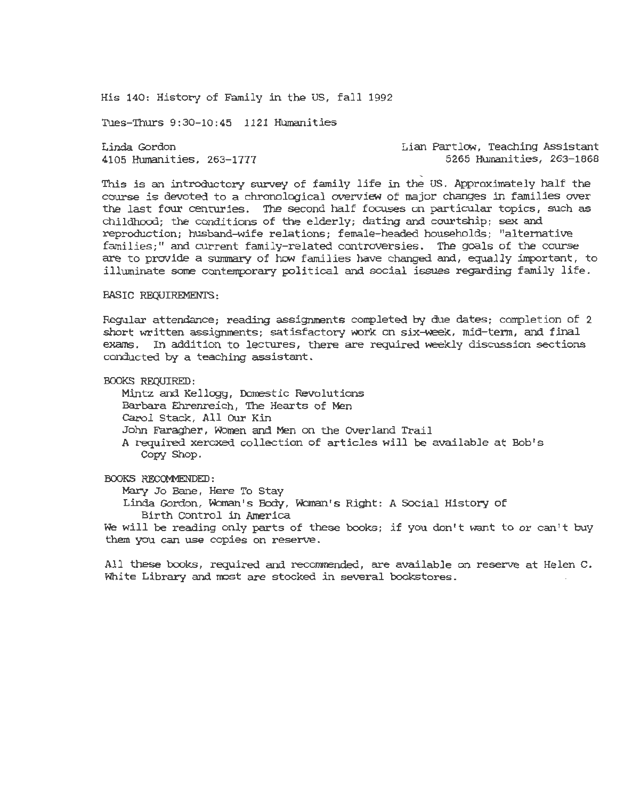His 140: History of Family in the US, fall 1992

Tues-Thurs 9:30-10:45 1121 Humanities

Linda Gordon 4105 Humanities, 263-1777 Lian Partlow, Teaching Assistant 5265 Humanities, 263-1868

' This *is* an introductory survey of family life in the US. Approximately half the course *is* devoted to a chronological overview of major changes in families over the last four centuries. The second half focuses on particular topics, such as childhood; the conditions of the elderly; dating and courtship; sex and reproduction; husband-wife relations; female-headed households; "alternative families;" and current family-related controversies. The goals of the course are to provide a summary of how families have changed and, equally important, to illuminate some contemporary political and social issues regarding family life.

## BASIC REQUIREMENTS:

Regular attendance; reading assignments completed by due dates; completion of 2 short written assignments; satisfactory work on six-week, mid-term, and final exams. In addition to lectures, there are required weekly discussion sections conducted by a teaching assistant.

BOOKS REQUIRED:

Mintz and Kellogg, Domestic Revolutions Barbara Ehrenreich, The Hearts of Men Carol Stack, All OUr Kin John Faragher, Women and Men on the Over land Trail A required xeroxed collection of articles will be available at Bob's Copy Shop.

## BOOKS RECOMMENDED:

Mary Jo Bane, Here To Stay

Linda Gordon, Woman's Body, Woman's Right: A Social History of Birth Control in America

We will be reading only parts of these books; if you don't want to or can't buy them you can use copies on reserve.

All these books, required and recommended, are available on reserve at Helen C. White Library and most are stocked in several bookstores.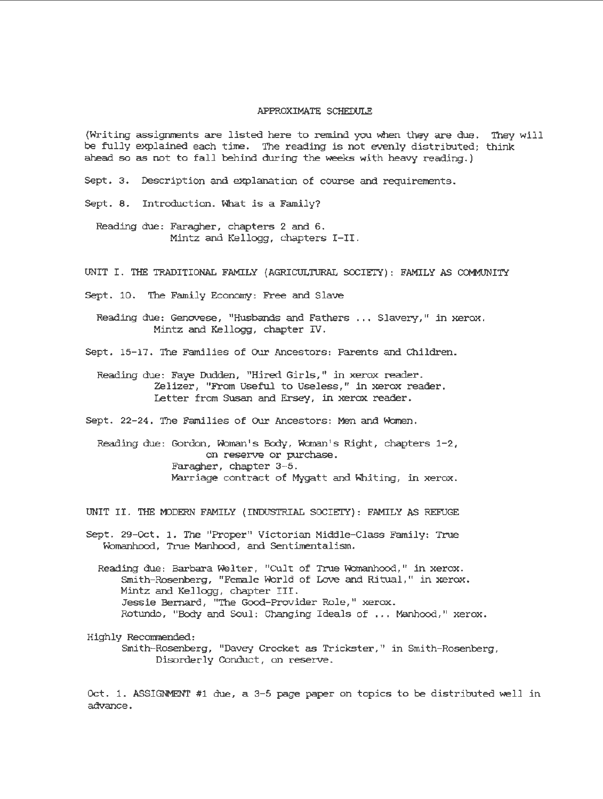## APPROXIMATE SCHEDULE

(Writing assignments are listed here to remind you when they are due. They will be fully explained each time. The reading *is* not evenly distributed; think ahead so as not to fall behind during the weeks with heavy reading. )

Sept. 3. Description and explanation of course and requirements.

Sept. 8. Introduction. What *is* a Family?

Reading due: Faragher, chapters 2 and 6. Mintz and Kellogg, chapters I-II.

UNIT I. THE TRADITIONAL FAMILY (AGRICULTURAL SOCIETY): FAMILY AS COMMUNITY

Sept. 10. The Family Economy: Free and Slave

Reading due: Genovese, "Husbands and Fathers ... Slavery," in xerox. Mintz and Kellogg, chapter IV.

Sept. 15-17. The Families of Our Ancestors: Parents and Children.

Reading due: Faye Dudden, "Hired Girls," in xerox reader. Zelizer, "From Useful to Useless, " in xerox reader. Letter from SUsan and Ersey, *in* xerox reader.

Sept. 22-24. The Families of Our Ancestors: Men and Women.

Reading due: Gordon, Woman's Body, Woman's Right, chapters 1-2, on reserve or purchase. Faragher, chapter 3-5. Marriage contract of Mygatt and Whiting, in xerox.

UNIT II. THE MODERN FAMILY (INDUSTRIAL SOCIETY): FAMILY AS REFUGE

Sept . 29-0ct. 1. The "Proper" Victorian Middle-Class Family: True Womanhood, True Manhood, and Sentimentalism.

Reading due : Barbara Welter, "Cult of True Womanhood," *in* xerox. Smith-Rosenberg, "Female World of Love and Ritual," *in* xerox. Mintz and Kellogg, chapter III. Jessie Bernard, "The Good-Provider Role," xerox. Rotundo, "Body and Soul: Changing Ideals of ... Manhood," xerox.

Highly Recommended:

Smith- Rosenberg, "Davey Crocket as Trickster," *in* Smith-Rosenberg, Disorderly Conduct, on reserve.

Oct. 1. ASSIGNMENT #1 due, a 3-5 page paper on topics to be distributed well in advance.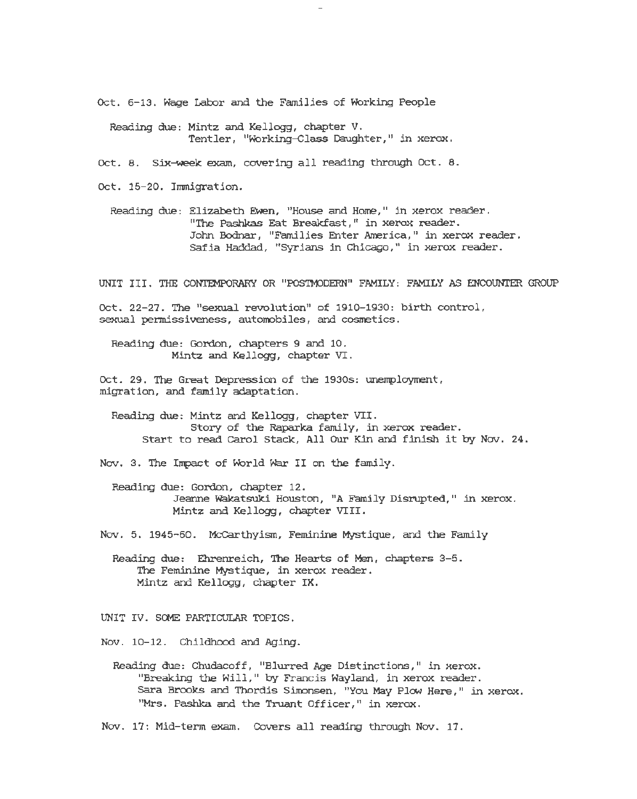Oct. 6-13. Wage Labor and the *Families* of Working People

Reading due: Mintz and Kellogg, chapter V. Tentler, "Working-class Daughter," in xerox.

Oct. 8. Six-week exam, covering all reading through Oct. 8.

Oct. 15-20. Immigration.

Reading due: Elizabeth Ewen, "House and Hore," in xerox reader. "The Pashkas Eat Breakfast, " in xerox reader . John Bodnar, "Families Enter America," in xerox reader. Safia Haddad, "Syrians in Chicago," in xerox reader.

UNIT III. THE CONTEMPORARY OR "POS'IMODERN" FAMILY: FAMILY AS ENCOUNTER GROUP

Oct. 22-27 . The "sexual revolution" of 1910- 1930: birth control, sexual permissiveness, automobiles, and cosmetics.

Reading due: Gordon, chapters 9 and 10 . Mintz and Kellogg, chapter VI.

Oct. 29. The Great Depression of the 1930s: unemployment, migration, and family adaptation.

Reading due: Mintz and Kellogg, chapter VII. Story of the Raparka family, in xerox reader. Start to read Carol Stack, All OUr Kin and finish it by Nov. 24.

Nov. 3. The Impact of World War II on the family.

Reading due: Gordon, chapter 12. Jeanne wakatsuki Houston, "A Family Disrupted," in xerox. Mintz and Kellogg, chapter VIII.

Nov. 5. 1945-60. McCarthyism, Feminine Mystique, and the Family

Reading due: Ehrenreich, The Hearts of Men, chapters 3-5. The Feminine Mystique, in xerox reader. Mintz and Kellogg, chapter IX.

UNIT IV. SCME PARTICULAR TOPICS.

Nov. 10-12. Childhood and Aging.

Reading due: Chudacoff, "Blurred Age Distinctions," in xerox. "Breaking the Will, " by Francis Wayland, in xerox reader. Sara Brooks and Thordis Simonsen, "You May Plow Here," in xerox. "Mrs. Pashka and the Truant Officer," in xerox.

Nov. 17: Mid-term exam. Covers all reading through Nov. 17.